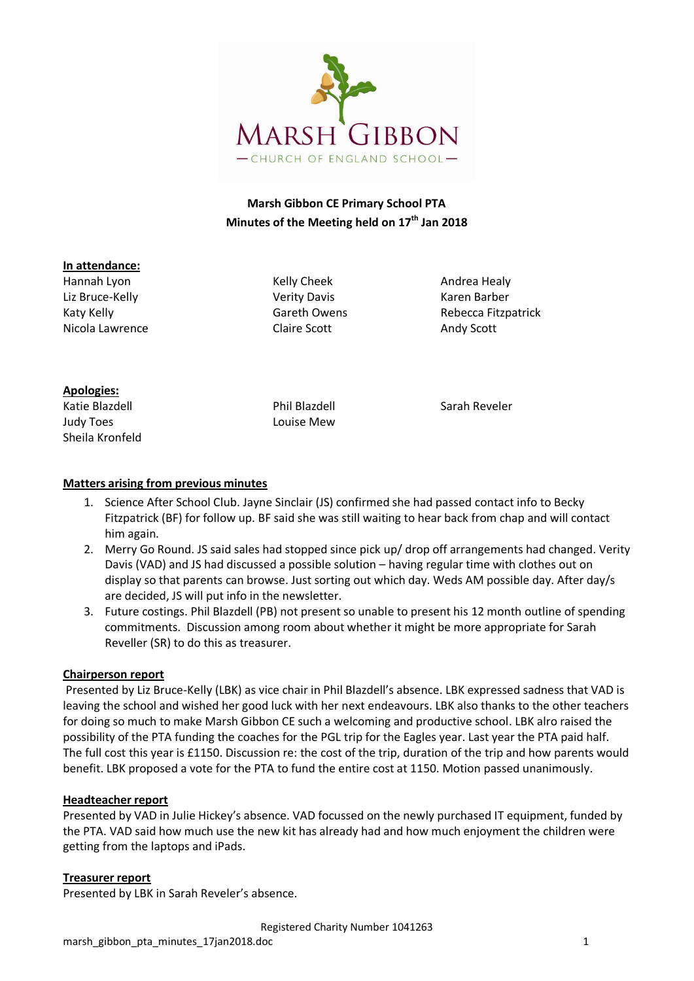

# **Marsh Gibbon CE Primary School PTA Minutes of the Meeting held on 17 th Jan 2018**

#### **In attendance:**

Hannah Lyon **Kelly Cheek** Andrea Healy Liz Bruce-Kelly **Network Communist Communist Communist Communist Communist Communist Communist Communist Communist Communist Communist Communist Communist Communist Communist Communist Communist Communist Communist Communi** Nicola Lawrence **Claire Scott** Claire Scott Andy Scott

Katy Kelly **Katy Kelly** Gareth Owens Rebecca Fitzpatrick

### **Apologies:**

Katie Blazdell **Election Sarah Reveler** Phil Blazdell **Sarah Reveler** Judy Toes Louise Mew Sheila Kronfeld

### **Matters arising from previous minutes**

- 1. Science After School Club. Jayne Sinclair (JS) confirmed she had passed contact info to Becky Fitzpatrick (BF) for follow up. BF said she was still waiting to hear back from chap and will contact him again.
- 2. Merry Go Round. JS said sales had stopped since pick up/ drop off arrangements had changed. Verity Davis (VAD) and JS had discussed a possible solution – having regular time with clothes out on display so that parents can browse. Just sorting out which day. Weds AM possible day. After day/s are decided, JS will put info in the newsletter.
- 3. Future costings. Phil Blazdell (PB) not present so unable to present his 12 month outline of spending commitments. Discussion among room about whether it might be more appropriate for Sarah Reveller (SR) to do this as treasurer.

### **Chairperson report**

Presented by Liz Bruce-Kelly (LBK) as vice chair in Phil Blazdell's absence. LBK expressed sadness that VAD is leaving the school and wished her good luck with her next endeavours. LBK also thanks to the other teachers for doing so much to make Marsh Gibbon CE such a welcoming and productive school. LBK alro raised the possibility of the PTA funding the coaches for the PGL trip for the Eagles year. Last year the PTA paid half. The full cost this year is £1150. Discussion re: the cost of the trip, duration of the trip and how parents would benefit. LBK proposed a vote for the PTA to fund the entire cost at 1150. Motion passed unanimously.

### **Headteacher report**

Presented by VAD in Julie Hickey's absence. VAD focussed on the newly purchased IT equipment, funded by the PTA. VAD said how much use the new kit has already had and how much enjoyment the children were getting from the laptops and iPads.

### **Treasurer report**

Presented by LBK in Sarah Reveler's absence.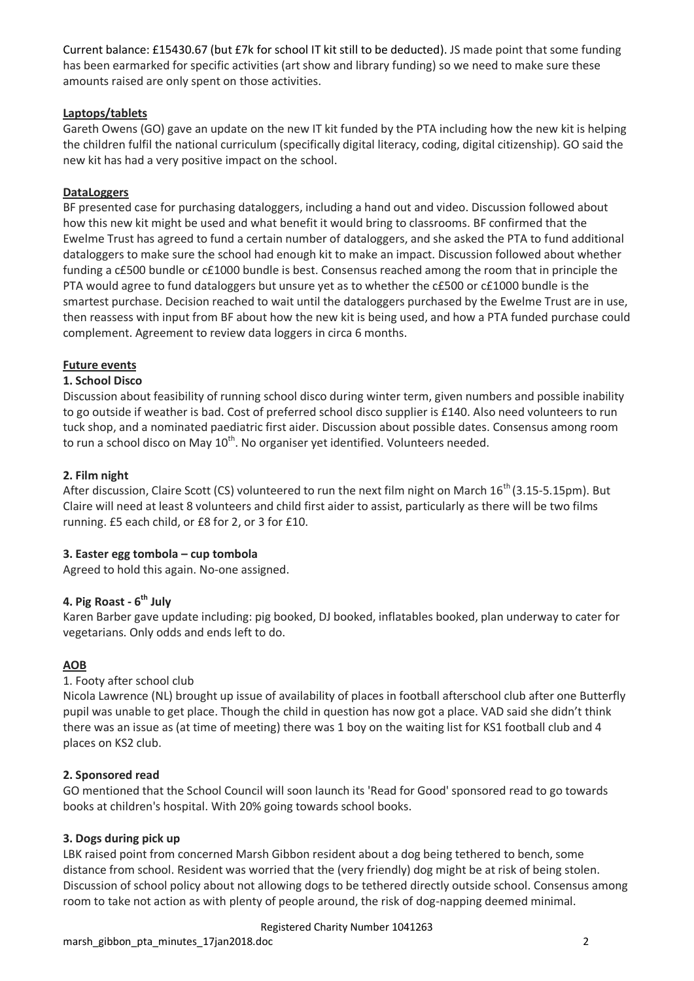Current balance: £15430.67 (but £7k for school IT kit still to be deducted). JS made point that some funding has been earmarked for specific activities (art show and library funding) so we need to make sure these amounts raised are only spent on those activities.

### **Laptops/tablets**

Gareth Owens (GO) gave an update on the new IT kit funded by the PTA including how the new kit is helping the children fulfil the national curriculum (specifically digital literacy, coding, digital citizenship). GO said the new kit has had a very positive impact on the school.

### **DataLoggers**

BF presented case for purchasing dataloggers, including a hand out and video. Discussion followed about how this new kit might be used and what benefit it would bring to classrooms. BF confirmed that the Ewelme Trust has agreed to fund a certain number of dataloggers, and she asked the PTA to fund additional dataloggers to make sure the school had enough kit to make an impact. Discussion followed about whether funding a c£500 bundle or c£1000 bundle is best. Consensus reached among the room that in principle the PTA would agree to fund dataloggers but unsure yet as to whether the c£500 or c£1000 bundle is the smartest purchase. Decision reached to wait until the dataloggers purchased by the Ewelme Trust are in use, then reassess with input from BF about how the new kit is being used, and how a PTA funded purchase could complement. Agreement to review data loggers in circa 6 months.

### **Future events**

### **1. School Disco**

Discussion about feasibility of running school disco during winter term, given numbers and possible inability to go outside if weather is bad. Cost of preferred school disco supplier is £140. Also need volunteers to run tuck shop, and a nominated paediatric first aider. Discussion about possible dates. Consensus among room to run a school disco on May 10<sup>th</sup>. No organiser yet identified. Volunteers needed.

### **2. Film night**

After discussion, Claire Scott (CS) volunteered to run the next film night on March  $16^{th}$  (3.15-5.15pm). But Claire will need at least 8 volunteers and child first aider to assist, particularly as there will be two films running. £5 each child, or £8 for 2, or 3 for £10.

### **3. Easter egg tombola – cup tombola**

Agreed to hold this again. No-one assigned.

## **4. Pig Roast - 6 th July**

Karen Barber gave update including: pig booked, DJ booked, inflatables booked, plan underway to cater for vegetarians. Only odds and ends left to do.

### **AOB**

## 1. Footy after school club

Nicola Lawrence (NL) brought up issue of availability of places in football afterschool club after one Butterfly pupil was unable to get place. Though the child in question has now got a place. VAD said she didn't think there was an issue as (at time of meeting) there was 1 boy on the waiting list for KS1 football club and 4 places on KS2 club.

### **2. Sponsored read**

GO mentioned that the School Council will soon launch its 'Read for Good' sponsored read to go towards books at children's hospital. With 20% going towards school books.

### **3. Dogs during pick up**

LBK raised point from concerned Marsh Gibbon resident about a dog being tethered to bench, some distance from school. Resident was worried that the (very friendly) dog might be at risk of being stolen. Discussion of school policy about not allowing dogs to be tethered directly outside school. Consensus among room to take not action as with plenty of people around, the risk of dog-napping deemed minimal.